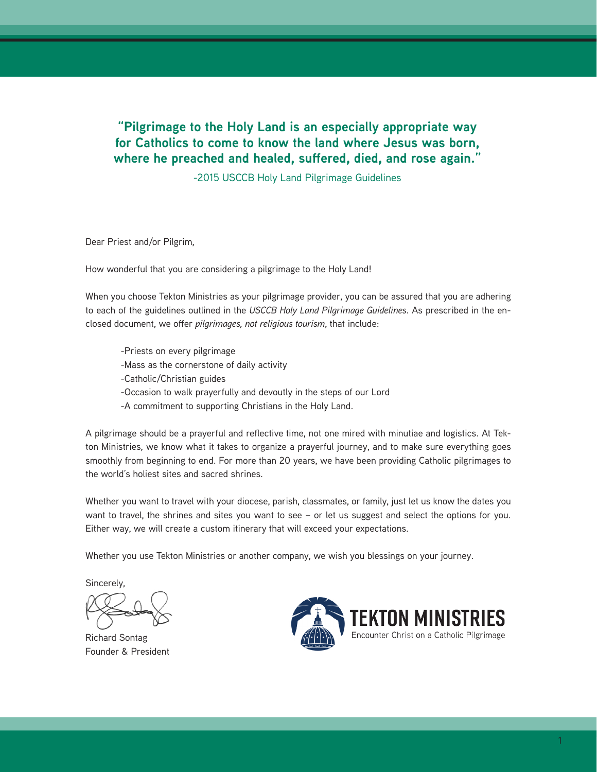# **"Pilgrimage to the Holy Land is an especially appropriate way for Catholics to come to know the land where Jesus was born, where he preached and healed, sufered, died, and rose again."**

-2015 USCCB Holy Land Pilgrimage Guidelines

Dear Priest and/or Pilgrim,

How wonderful that you are considering a pilgrimage to the Holy Land!

When you choose Tekton Ministries as your pilgrimage provider, you can be assured that you are adhering to each of the guidelines outlined in the *USCCB Holy Land Pilgrimage Guidelines*. As prescribed in the enclosed document, we offer *pilgrimages, not religious tourism*, that include:

-Priests on every pilgrimage -Mass as the cornerstone of daily activity -Catholic/Christian guides -Occasion to walk prayerfully and devoutly in the steps of our Lord -A commitment to supporting Christians in the Holy Land.

A pilgrimage should be a prayerful and refective time, not one mired with minutiae and logistics. At Tekton Ministries, we know what it takes to organize a prayerful journey, and to make sure everything goes smoothly from beginning to end. For more than 20 years, we have been providing Catholic pilgrimages to the world's holiest sites and sacred shrines.

Whether you want to travel with your diocese, parish, classmates, or family, just let us know the dates you want to travel, the shrines and sites you want to see - or let us suggest and select the options for you. Either way, we will create a custom itinerary that will exceed your expectations.

Whether you use Tekton Ministries or another company, we wish you blessings on your journey.

Sincerely,

Richard Sontag Founder & President

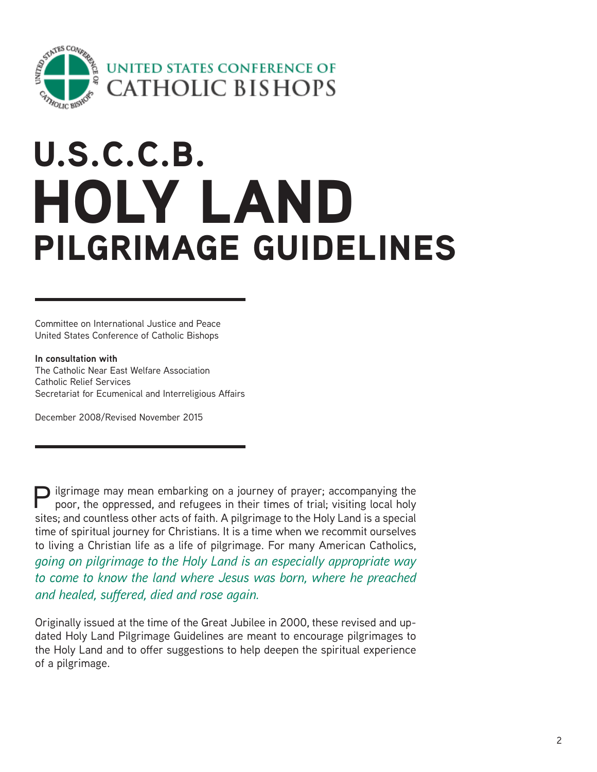

# PILGRIMAGE GUIDELINES U.S.C.C.B. HOLY LAND

Committee on International Justice and Peace United States Conference of Catholic Bishops

**In consultation with** The Catholic Near East Welfare Association Catholic Relief Services Secretariat for Ecumenical and Interreligious Afairs

December 2008/Revised November 2015

 $\Box$  ilgrimage may mean embarking on a journey of prayer; accompanying the poor, the oppressed, and refugees in their times of trial; visiting local holy sites; and countless other acts of faith. A pilgrimage to the Holy Land is a special time of spiritual journey for Christians. It is a time when we recommit ourselves to living a Christian life as a life of pilgrimage. For many American Catholics, *going on pilgrimage to the Holy Land is an especially appropriate way to come to know the land where Jesus was born, where he preached and healed, sufered, died and rose again.*

Originally issued at the time of the Great Jubilee in 2000, these revised and updated Holy Land Pilgrimage Guidelines are meant to encourage pilgrimages to the Holy Land and to ofer suggestions to help deepen the spiritual experience of a pilgrimage.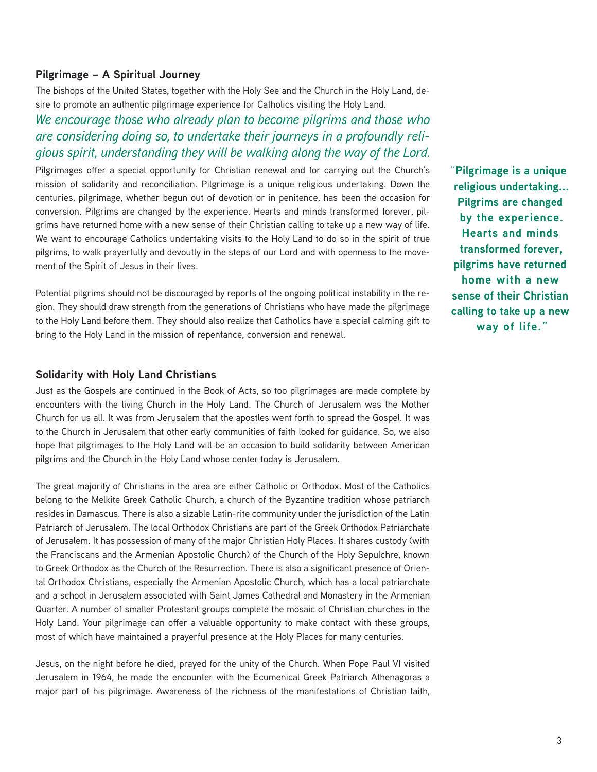#### **Pilgrimage – A Spiritual Journey**

The bishops of the United States, together with the Holy See and the Church in the Holy Land, desire to promote an authentic pilgrimage experience for Catholics visiting the Holy Land.

# *We encourage those who already plan to become pilgrims and those who are considering doing so, to undertake their journeys in a profoundly religious spirit, understanding they will be walking along the way of the Lord.*

Pilgrimages offer a special opportunity for Christian renewal and for carrying out the Church's mission of solidarity and reconciliation. Pilgrimage is a unique religious undertaking. Down the centuries, pilgrimage, whether begun out of devotion or in penitence, has been the occasion for conversion. Pilgrims are changed by the experience. Hearts and minds transformed forever, pilgrims have returned home with a new sense of their Christian calling to take up a new way of life. We want to encourage Catholics undertaking visits to the Holy Land to do so in the spirit of true pilgrims, to walk prayerfully and devoutly in the steps of our Lord and with openness to the movement of the Spirit of Jesus in their lives.

Potential pilgrims should not be discouraged by reports of the ongoing political instability in the region. They should draw strength from the generations of Christians who have made the pilgrimage to the Holy Land before them. They should also realize that Catholics have a special calming gift to bring to the Holy Land in the mission of repentance, conversion and renewal.

#### **Solidarity with Holy Land Christians**

Just as the Gospels are continued in the Book of Acts, so too pilgrimages are made complete by encounters with the living Church in the Holy Land. The Church of Jerusalem was the Mother Church for us all. It was from Jerusalem that the apostles went forth to spread the Gospel. It was to the Church in Jerusalem that other early communities of faith looked for guidance. So, we also hope that pilgrimages to the Holy Land will be an occasion to build solidarity between American pilgrims and the Church in the Holy Land whose center today is Jerusalem.

The great majority of Christians in the area are either Catholic or Orthodox. Most of the Catholics belong to the Melkite Greek Catholic Church, a church of the Byzantine tradition whose patriarch resides in Damascus. There is also a sizable Latin-rite community under the jurisdiction of the Latin Patriarch of Jerusalem. The local Orthodox Christians are part of the Greek Orthodox Patriarchate of Jerusalem. It has possession of many of the major Christian Holy Places. It shares custody (with the Franciscans and the Armenian Apostolic Church) of the Church of the Holy Sepulchre, known to Greek Orthodox as the Church of the Resurrection. There is also a signifcant presence of Oriental Orthodox Christians, especially the Armenian Apostolic Church, which has a local patriarchate and a school in Jerusalem associated with Saint James Cathedral and Monastery in the Armenian Quarter. A number of smaller Protestant groups complete the mosaic of Christian churches in the Holy Land. Your pilgrimage can offer a valuable opportunity to make contact with these groups, most of which have maintained a prayerful presence at the Holy Places for many centuries.

Jesus, on the night before he died, prayed for the unity of the Church. When Pope Paul VI visited Jerusalem in 1964, he made the encounter with the Ecumenical Greek Patriarch Athenagoras a major part of his pilgrimage. Awareness of the richness of the manifestations of Christian faith,

**"Pilgrimage is a unique religious undertaking... Pilgrims are changed by the experience. Hearts and minds transformed forever, pilgrims have returned home with a new sense of their Christian calling to take up a new way of life."**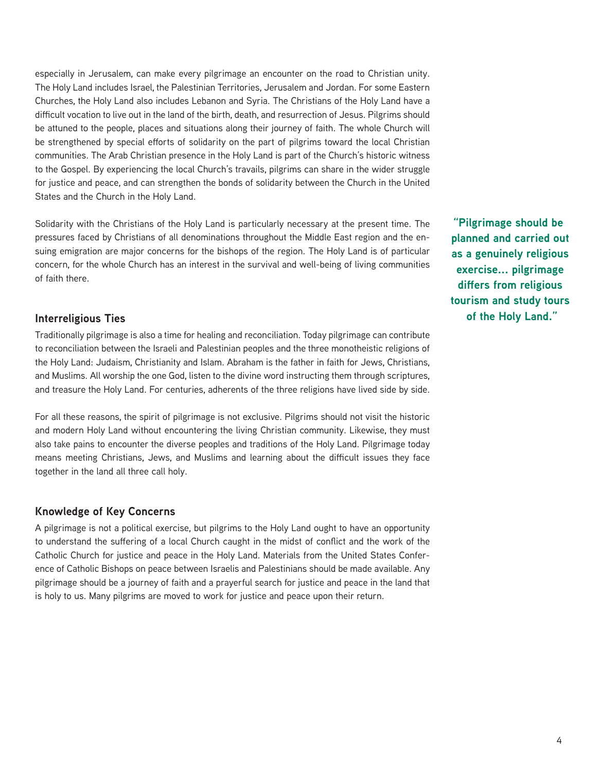especially in Jerusalem, can make every pilgrimage an encounter on the road to Christian unity. The Holy Land includes Israel, the Palestinian Territories, Jerusalem and Jordan. For some Eastern Churches, the Holy Land also includes Lebanon and Syria. The Christians of the Holy Land have a difficult vocation to live out in the land of the birth, death, and resurrection of Jesus. Pilgrims should be attuned to the people, places and situations along their journey of faith. The whole Church will be strengthened by special eforts of solidarity on the part of pilgrims toward the local Christian communities. The Arab Christian presence in the Holy Land is part of the Church's historic witness to the Gospel. By experiencing the local Church's travails, pilgrims can share in the wider struggle for justice and peace, and can strengthen the bonds of solidarity between the Church in the United States and the Church in the Holy Land.

Solidarity with the Christians of the Holy Land is particularly necessary at the present time. The pressures faced by Christians of all denominations throughout the Middle East region and the ensuing emigration are major concerns for the bishops of the region. The Holy Land is of particular concern, for the whole Church has an interest in the survival and well-being of living communities of faith there.

#### **Interreligious Ties**

Traditionally pilgrimage is also a time for healing and reconciliation. Today pilgrimage can contribute to reconciliation between the Israeli and Palestinian peoples and the three monotheistic religions of the Holy Land: Judaism, Christianity and Islam. Abraham is the father in faith for Jews, Christians, and Muslims. All worship the one God, listen to the divine word instructing them through scriptures, and treasure the Holy Land. For centuries, adherents of the three religions have lived side by side.

For all these reasons, the spirit of pilgrimage is not exclusive. Pilgrims should not visit the historic and modern Holy Land without encountering the living Christian community. Likewise, they must also take pains to encounter the diverse peoples and traditions of the Holy Land. Pilgrimage today means meeting Christians, Jews, and Muslims and learning about the difficult issues they face together in the land all three call holy.

#### **Knowledge of Key Concerns**

A pilgrimage is not a political exercise, but pilgrims to the Holy Land ought to have an opportunity to understand the sufering of a local Church caught in the midst of confict and the work of the Catholic Church for justice and peace in the Holy Land. Materials from the United States Conference of Catholic Bishops on peace between Israelis and Palestinians should be made available. Any pilgrimage should be a journey of faith and a prayerful search for justice and peace in the land that is holy to us. Many pilgrims are moved to work for justice and peace upon their return.

**"Pilgrimage should be planned and carried out as a genuinely religious exercise... pilgrimage difers from religious tourism and study tours of the Holy Land."**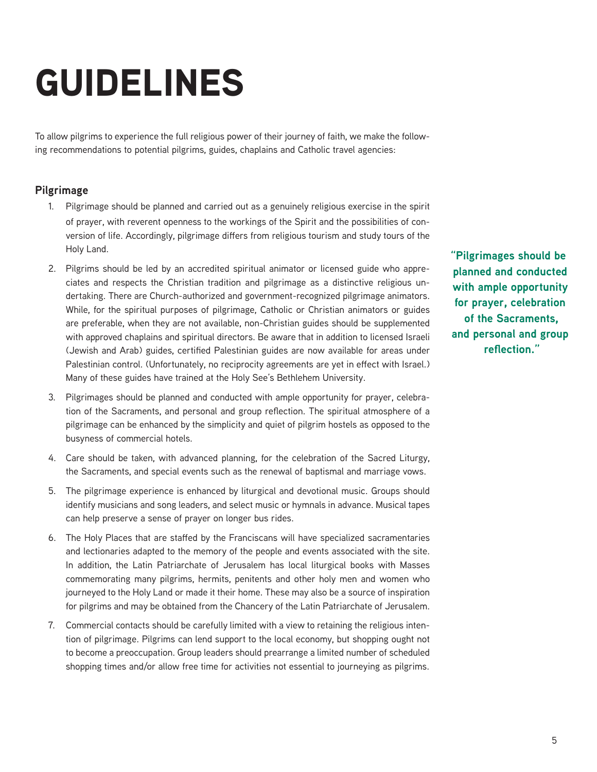# GUIDELINES

To allow pilgrims to experience the full religious power of their journey of faith, we make the following recommendations to potential pilgrims, guides, chaplains and Catholic travel agencies:

#### **Pilgrimage**

- 1. Pilgrimage should be planned and carried out as a genuinely religious exercise in the spirit of prayer, with reverent openness to the workings of the Spirit and the possibilities of conversion of life. Accordingly, pilgrimage difers from religious tourism and study tours of the Holy Land.
- 2. Pilgrims should be led by an accredited spiritual animator or licensed guide who appreciates and respects the Christian tradition and pilgrimage as a distinctive religious undertaking. There are Church-authorized and government-recognized pilgrimage animators. While, for the spiritual purposes of pilgrimage, Catholic or Christian animators or guides are preferable, when they are not available, non-Christian guides should be supplemented with approved chaplains and spiritual directors. Be aware that in addition to licensed Israeli (Jewish and Arab) guides, certifed Palestinian guides are now available for areas under Palestinian control. (Unfortunately, no reciprocity agreements are yet in effect with Israel.) Many of these guides have trained at the Holy See's Bethlehem University.
- 3. Pilgrimages should be planned and conducted with ample opportunity for prayer, celebration of the Sacraments, and personal and group refection. The spiritual atmosphere of a pilgrimage can be enhanced by the simplicity and quiet of pilgrim hostels as opposed to the busyness of commercial hotels.
- 4. Care should be taken, with advanced planning, for the celebration of the Sacred Liturgy, the Sacraments, and special events such as the renewal of baptismal and marriage vows.
- 5. The pilgrimage experience is enhanced by liturgical and devotional music. Groups should identify musicians and song leaders, and select music or hymnals in advance. Musical tapes can help preserve a sense of prayer on longer bus rides.
- 6. The Holy Places that are stafed by the Franciscans will have specialized sacramentaries and lectionaries adapted to the memory of the people and events associated with the site. In addition, the Latin Patriarchate of Jerusalem has local liturgical books with Masses commemorating many pilgrims, hermits, penitents and other holy men and women who journeyed to the Holy Land or made it their home. These may also be a source of inspiration for pilgrims and may be obtained from the Chancery of the Latin Patriarchate of Jerusalem.
- 7. Commercial contacts should be carefully limited with a view to retaining the religious intention of pilgrimage. Pilgrims can lend support to the local economy, but shopping ought not to become a preoccupation. Group leaders should prearrange a limited number of scheduled shopping times and/or allow free time for activities not essential to journeying as pilgrims.

**"Pilgrimages should be planned and conducted with ample opportunity for prayer, celebration of the Sacraments, and personal and group refection."**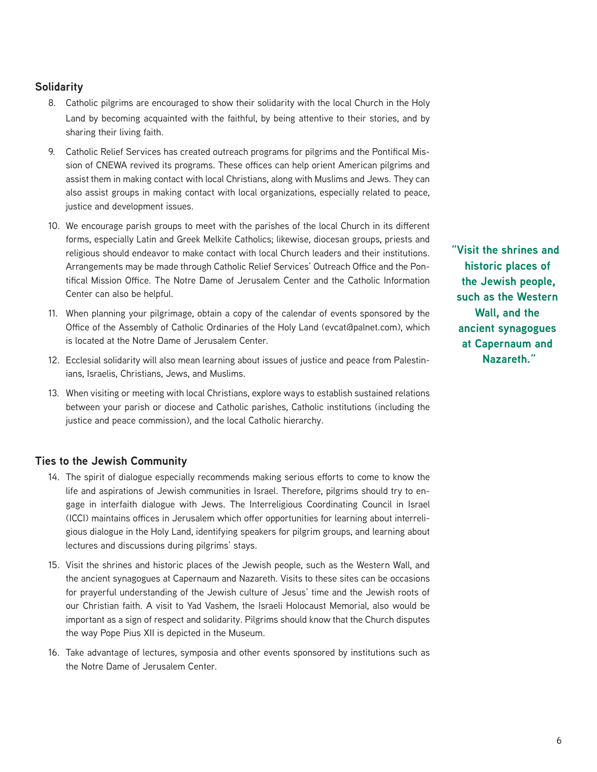#### **Solidarity**

- 8. Catholic pilgrims are encouraged to show their solidarity with the local Church in the Holy Land by becoming acquainted with the faithful, by being attentive to their stories, and by sharing their living faith.
- 9. Catholic Relief Services has created outreach programs for pilgrims and the Pontifcal Mission of CNEWA revived its programs. These offices can help orient American pilgrims and assist them in making contact with local Christians, along with Muslims and Jews. They can also assist groups in making contact with local organizations, especially related to peace, justice and development issues.
- 10. We encourage parish groups to meet with the parishes of the local Church in its diferent forms, especially Latin and Greek Melkite Catholics; likewise, diocesan groups, priests and religious should endeavor to make contact with local Church leaders and their institutions. Arrangements may be made through Catholic Relief Services' Outreach Office and the Pontifical Mission Office. The Notre Dame of Jerusalem Center and the Catholic Information Center can also be helpful.
- 11. When planning your pilgrimage, obtain a copy of the calendar of events sponsored by the Office of the Assembly of Catholic Ordinaries of the Holy Land (evcat@palnet.com), which is located at the Notre Dame of Jerusalem Center.
- 12. Ecclesial solidarity will also mean learning about issues of justice and peace from Palestinians, Israelis, Christians, Jews, and Muslims.
- 13. When visiting or meeting with local Christians, explore ways to establish sustained relations between your parish or diocese and Catholic parishes, Catholic institutions (including the justice and peace commission), and the local Catholic hierarchy.

#### **Ties to the Jewish Community**

- 14. The spirit of dialogue especially recommends making serious eforts to come to know the life and aspirations of Jewish communities in Israel. Therefore, pilgrims should try to engage in interfaith dialogue with Jews. The Interreligious Coordinating Council in Israel (ICCI) maintains offices in Jerusalem which offer opportunities for learning about interreligious dialogue in the Holy Land, identifying speakers for pilgrim groups, and learning about lectures and discussions during pilgrims' stays.
- 15. Visit the shrines and historic places of the Jewish people, such as the Western Wall, and the ancient synagogues at Capernaum and Nazareth. Visits to these sites can be occasions for prayerful understanding of the Jewish culture of Jesus' time and the Jewish roots of our Christian faith. A visit to Yad Vashem, the Israeli Holocaust Memorial, also would be important as a sign of respect and solidarity. Pilgrims should know that the Church disputes the way Pope Pius XII is depicted in the Museum.
- 16. Take advantage of lectures, symposia and other events sponsored by institutions such as the Notre Dame of Jerusalem Center.

**"Visit the shrines and historic places of the Jewish people, such as the Western Wall, and the ancient synagogues at Capernaum and Nazareth."**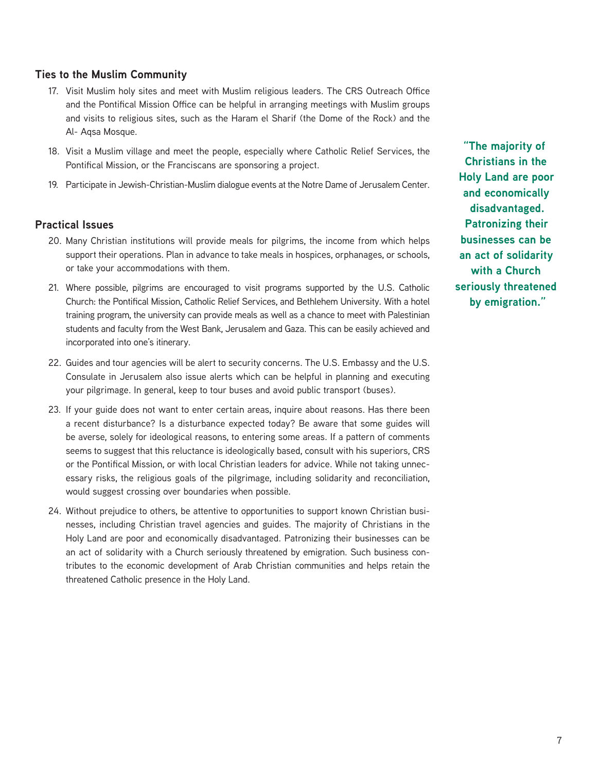#### **Ties to the Muslim Community**

- 17. Visit Muslim holy sites and meet with Muslim religious leaders. The CRS Outreach Office and the Pontifical Mission Office can be helpful in arranging meetings with Muslim groups and visits to religious sites, such as the Haram el Sharif (the Dome of the Rock) and the Al- Aqsa Mosque.
- 18. Visit a Muslim village and meet the people, especially where Catholic Relief Services, the Pontifcal Mission, or the Franciscans are sponsoring a project.
- 19. Participate in Jewish-Christian-Muslim dialogue events at the Notre Dame of Jerusalem Center.

#### **Practical Issues**

- 20. Many Christian institutions will provide meals for pilgrims, the income from which helps support their operations. Plan in advance to take meals in hospices, orphanages, or schools, or take your accommodations with them.
- 21. Where possible, pilgrims are encouraged to visit programs supported by the U.S. Catholic Church: the Pontifcal Mission, Catholic Relief Services, and Bethlehem University. With a hotel training program, the university can provide meals as well as a chance to meet with Palestinian students and faculty from the West Bank, Jerusalem and Gaza. This can be easily achieved and incorporated into one's itinerary.
- 22. Guides and tour agencies will be alert to security concerns. The U.S. Embassy and the U.S. Consulate in Jerusalem also issue alerts which can be helpful in planning and executing your pilgrimage. In general, keep to tour buses and avoid public transport (buses).
- 23. If your guide does not want to enter certain areas, inquire about reasons. Has there been a recent disturbance? Is a disturbance expected today? Be aware that some guides will be averse, solely for ideological reasons, to entering some areas. If a pattern of comments seems to suggest that this reluctance is ideologically based, consult with his superiors, CRS or the Pontifcal Mission, or with local Christian leaders for advice. While not taking unnecessary risks, the religious goals of the pilgrimage, including solidarity and reconciliation, would suggest crossing over boundaries when possible.
- 24. Without prejudice to others, be attentive to opportunities to support known Christian businesses, including Christian travel agencies and guides. The majority of Christians in the Holy Land are poor and economically disadvantaged. Patronizing their businesses can be an act of solidarity with a Church seriously threatened by emigration. Such business contributes to the economic development of Arab Christian communities and helps retain the threatened Catholic presence in the Holy Land.

**"The majority of Christians in the Holy Land are poor and economically disadvantaged. Patronizing their businesses can be an act of solidarity with a Church seriously threatened by emigration."**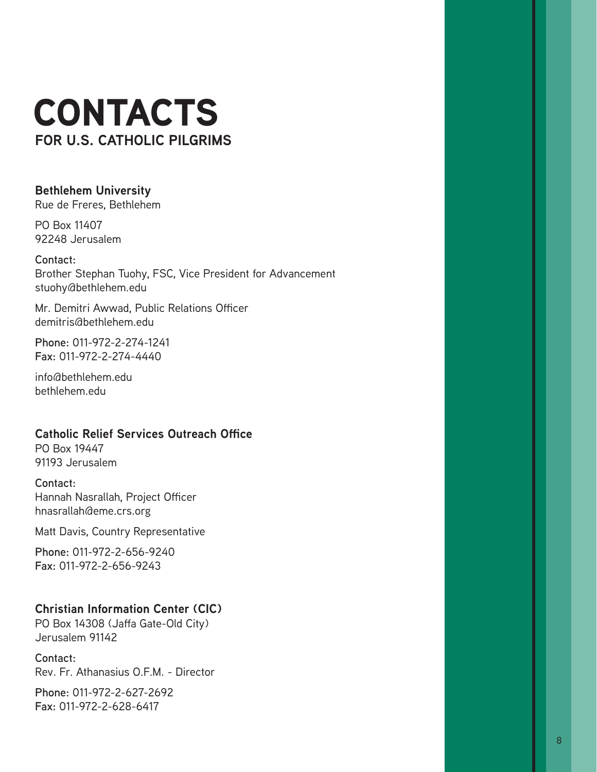# **FOR U.S. CATHOLIC PILGRIMS** CONTACTS

# **Bethlehem University**

Rue de Freres, Bethlehem

PO Box 11407 92248 Jerusalem

**Contact:** Brother Stephan Tuohy, FSC, Vice President for Advancement stuohy@bethlehem.edu

Mr. Demitri Awwad, Public Relations Officer demitris@bethlehem.edu

**Phone:** 011-972-2-274-1241 **Fax:** 011-972-2-274-4440

info@bethlehem.edu bethlehem.edu

# **Catholic Relief Services Outreach Office**

PO Box 19447 91193 Jerusalem

**Contact:** Hannah Nasrallah, Project Officer hnasrallah@eme.crs.org

Matt Davis, Country Representative

**Phone:** 011-972-2-656-9240 **Fax:** 011-972-2-656-9243

# **Christian Information Center (CIC)**

PO Box 14308 (Jaffa Gate-Old City) Jerusalem 91142

**Contact:** Rev. Fr. Athanasius O.F.M. - Director

**Phone:** 011-972-2-627-2692 **Fax:** 011-972-2-628-6417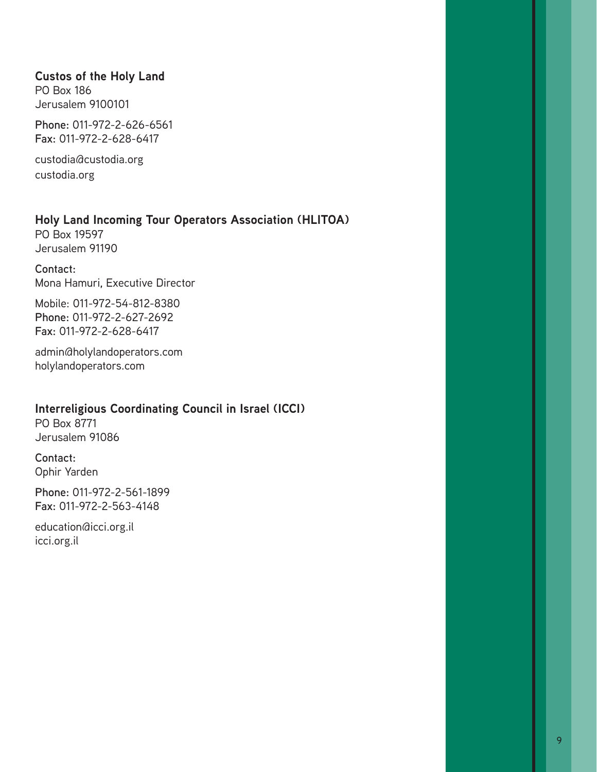# **Custos of the Holy Land**

PO Box 186 Jerusalem 9100101

**Phone:** 011-972-2-626-6561 **Fax:** 011-972-2-628-6417

custodia@custodia.org custodia.org

# **Holy Land Incoming Tour Operators Association (HLITOA)**

PO Box 19597 Jerusalem 91190

**Contact:** Mona Hamuri, Executive Director

Mobile: 011-972-54-812-8380 **Phone:** 011-972-2-627-2692 **Fax:** 011-972-2-628-6417

admin@holylandoperators.com holylandoperators.com

# **Interreligious Coordinating Council in Israel (ICCI)**

PO Box 8771 Jerusalem 91086

**Contact:** Ophir Yarden

**Phone:** 011-972-2-561-1899 **Fax:** 011-972-2-563-4148

education@icci.org.il icci.org.il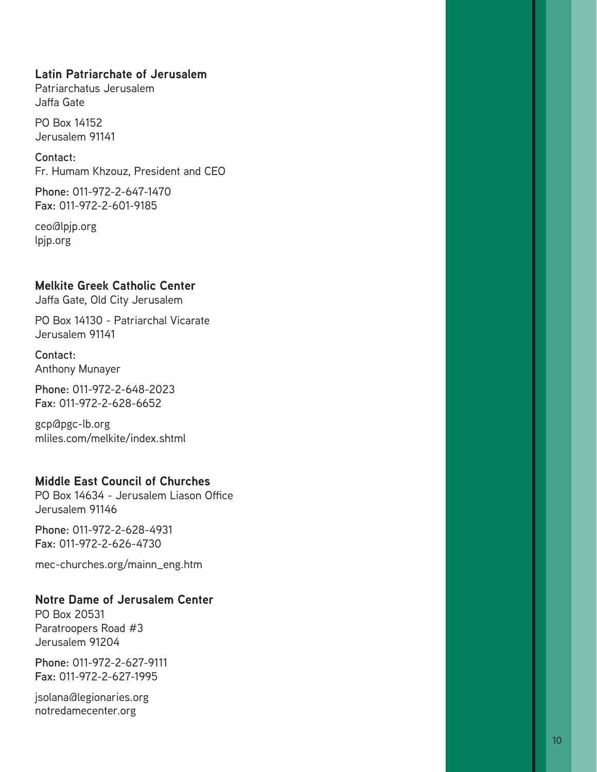#### **Latin Patriarchate of Jerusalem**

Patriarchatus Jerusalem Jaffa Gate

PO Box 14152 Jerusalem 91141

**Contact:** Fr. Humam Khzouz, President and CEO

**Phone:** 011-972-2-647-1470 **Fax:** 011-972-2-601-9185

ceo@lpjp.org lpjp.org

# **Melkite Greek Catholic Center**

Jaffa Gate, Old City Jerusalem

PO Box 14130 - Patriarchal Vicarate Jerusalem 91141

**Contact:** Anthony Munayer

**Phone:** 011-972-2-648-2023 **Fax:** 011-972-2-628-6652

gcp@pgc-lb.org mliles.com/melkite/index.shtml

### **Middle East Council of Churches**

PO Box 14634 - Jerusalem Liason Office Jerusalem 91146

**Phone:** 011-972-2-628-4931 **Fax:** 011-972-2-626-4730

mec-churches.org/mainn\_eng.htm

#### **Notre Dame of Jerusalem Center**

PO Box 20531 Paratroopers Road #3 Jerusalem 91204

**Phone:** 011-972-2-627-9111 **Fax:** 011-972-2-627-1995

jsolana@legionaries.org notredamecenter.org